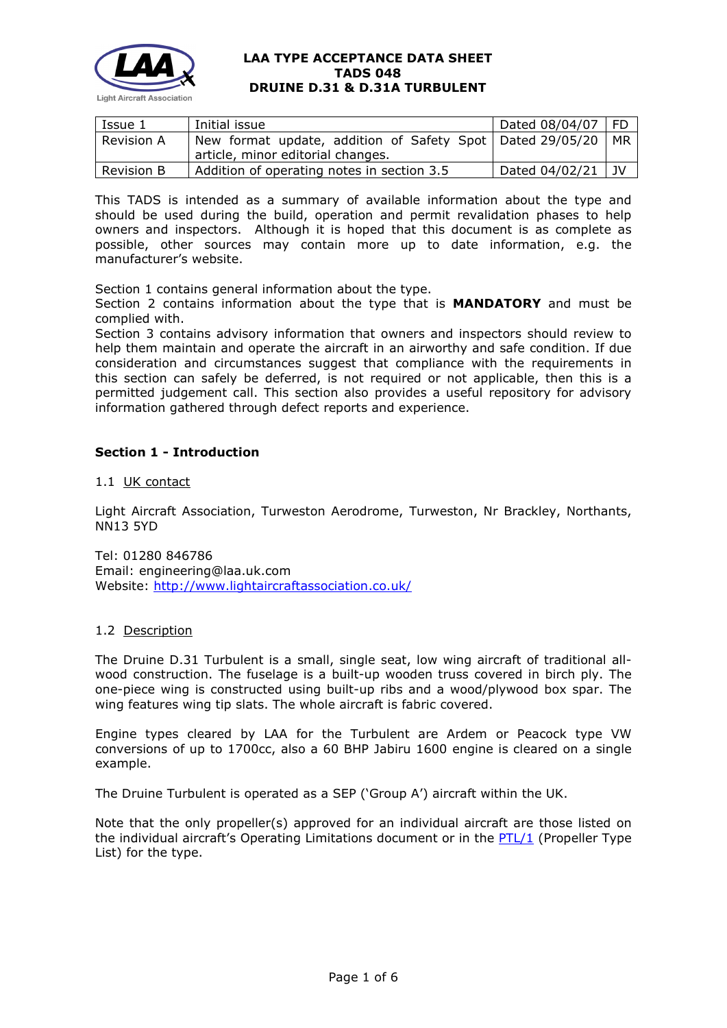

| Issue 1           | Initial issue                                               | Dated 08/04/07 | - FD |
|-------------------|-------------------------------------------------------------|----------------|------|
| <b>Revision A</b> | New format update, addition of Safety Spot   Dated 29/05/20 |                | MR.  |
|                   | article, minor editorial changes.                           |                |      |
| <b>Revision B</b> | Addition of operating notes in section 3.5                  | Dated 04/02/21 | . JV |

This TADS is intended as a summary of available information about the type and should be used during the build, operation and permit revalidation phases to help owners and inspectors. Although it is hoped that this document is as complete as possible, other sources may contain more up to date information, e.g. the manufacturer's website.

Section 1 contains general information about the type.

Section 2 contains information about the type that is **MANDATORY** and must be complied with.

Section 3 contains advisory information that owners and inspectors should review to help them maintain and operate the aircraft in an airworthy and safe condition. If due consideration and circumstances suggest that compliance with the requirements in this section can safely be deferred, is not required or not applicable, then this is a permitted judgement call. This section also provides a useful repository for advisory information gathered through defect reports and experience.

# **Section 1 - Introduction**

## 1.1 UK contact

Light Aircraft Association, Turweston Aerodrome, Turweston, Nr Brackley, Northants, NN13 5YD

Tel: 01280 846786 Email: engineering@laa.uk.com Website: <http://www.lightaircraftassociation.co.uk/>

## 1.2 Description

The Druine D.31 Turbulent is a small, single seat, low wing aircraft of traditional allwood construction. The fuselage is a built-up wooden truss covered in birch ply. The one-piece wing is constructed using built-up ribs and a wood/plywood box spar. The wing features wing tip slats. The whole aircraft is fabric covered.

Engine types cleared by LAA for the Turbulent are Ardem or Peacock type VW conversions of up to 1700cc, also a 60 BHP Jabiru 1600 engine is cleared on a single example.

The Druine Turbulent is operated as a SEP ('Group A') aircraft within the UK.

Note that the only propeller(s) approved for an individual aircraft are those listed on the individual aircraft's Operating Limitations document or in the [PTL/1](http://www.lightaircraftassociation.co.uk/engineering/NewMods/PTL.html) (Propeller Type List) for the type.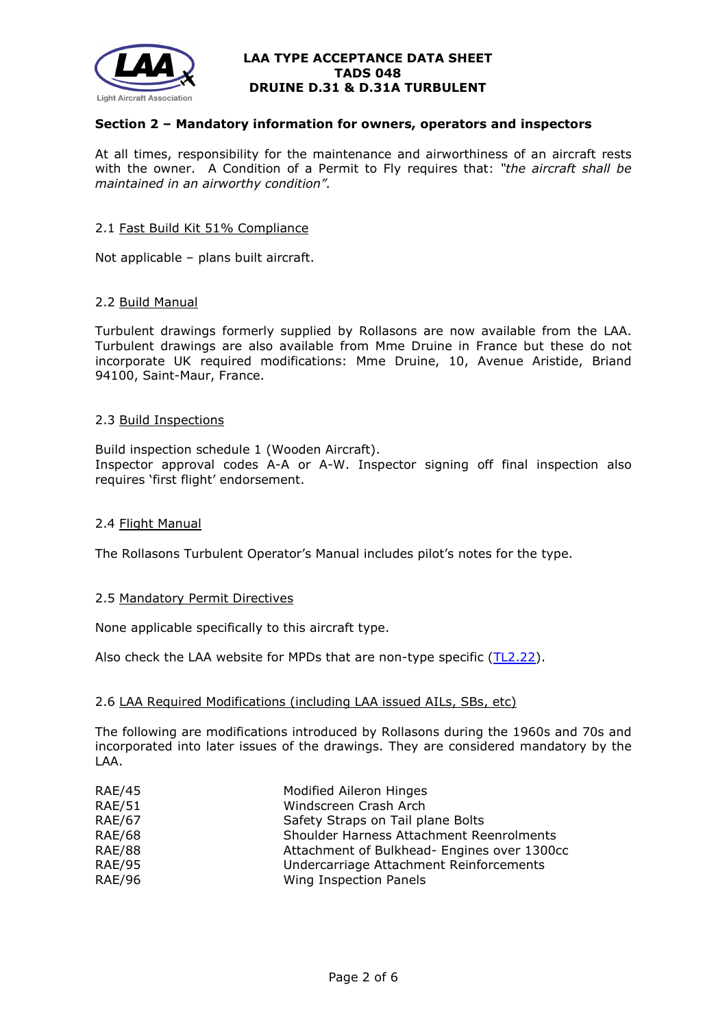

## **Section 2 – Mandatory information for owners, operators and inspectors**

At all times, responsibility for the maintenance and airworthiness of an aircraft rests with the owner. A Condition of a Permit to Fly requires that: *"the aircraft shall be maintained in an airworthy condition".* 

#### 2.1 Fast Build Kit 51% Compliance

Not applicable – plans built aircraft.

### 2.2 Build Manual

Turbulent drawings formerly supplied by Rollasons are now available from the LAA. Turbulent drawings are also available from Mme Druine in France but these do not incorporate UK required modifications: Mme Druine, 10, Avenue Aristide, Briand 94100, Saint-Maur, France.

#### 2.3 Build Inspections

Build inspection schedule 1 (Wooden Aircraft). Inspector approval codes A-A or A-W. Inspector signing off final inspection also requires 'first flight' endorsement.

## 2.4 Flight Manual

The Rollasons Turbulent Operator's Manual includes pilot's notes for the type.

## 2.5 Mandatory Permit Directives

None applicable specifically to this aircraft type.

Also check the LAA website for MPDs that are non-type specific  $(TL2.22)$ .

#### 2.6 LAA Required Modifications (including LAA issued AILs, SBs, etc)

The following are modifications introduced by Rollasons during the 1960s and 70s and incorporated into later issues of the drawings. They are considered mandatory by the LAA.

| <b>RAE/45</b> | <b>Modified Aileron Hinges</b>              |  |
|---------------|---------------------------------------------|--|
| <b>RAE/51</b> | Windscreen Crash Arch                       |  |
| <b>RAE/67</b> | Safety Straps on Tail plane Bolts           |  |
| <b>RAE/68</b> | Shoulder Harness Attachment Reenrolments    |  |
| <b>RAE/88</b> | Attachment of Bulkhead- Engines over 1300cc |  |
| <b>RAE/95</b> | Undercarriage Attachment Reinforcements     |  |
| <b>RAE/96</b> | Wing Inspection Panels                      |  |
|               |                                             |  |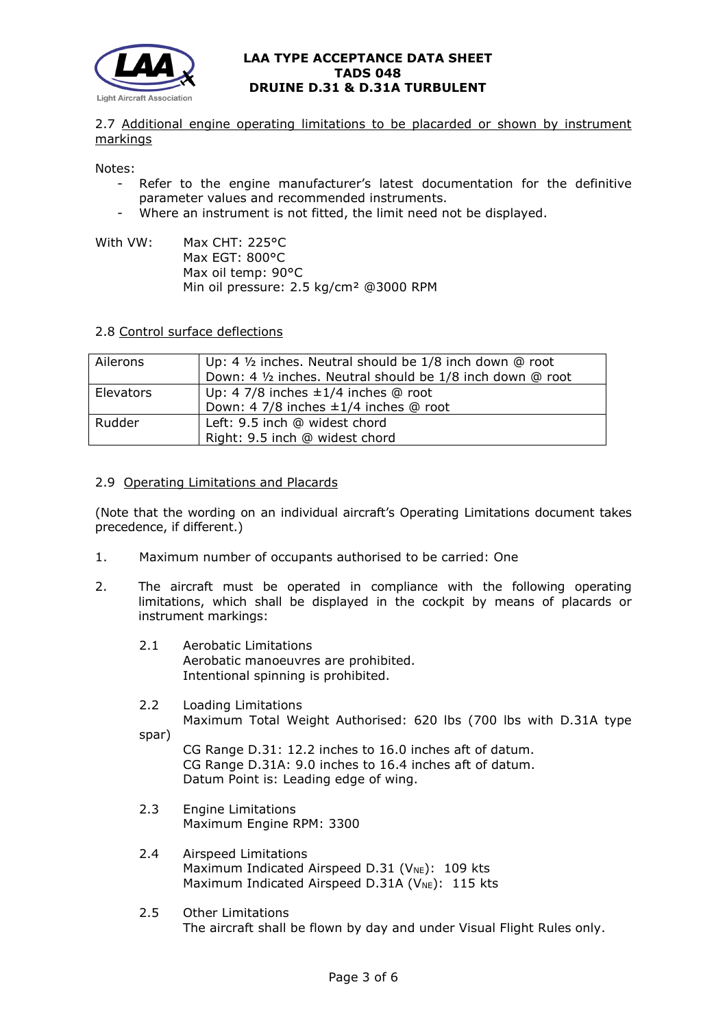

2.7 Additional engine operating limitations to be placarded or shown by instrument markings

Notes:

- Refer to the engine manufacturer's latest documentation for the definitive parameter values and recommended instruments.
- Where an instrument is not fitted, the limit need not be displayed.
- With VW: Max CHT: 225°C Max EGT: 800°C Max oil temp: 90°C Min oil pressure: 2.5 kg/cm² @3000 RPM

### 2.8 Control surface deflections

| Ailerons  | Up: 4 1/2 inches. Neutral should be 1/8 inch down @ root<br>Down: 4 1/2 inches. Neutral should be 1/8 inch down @ root |
|-----------|------------------------------------------------------------------------------------------------------------------------|
| Elevators | Up: 4 7/8 inches $\pm 1/4$ inches @ root<br>Down: 4 7/8 inches ±1/4 inches @ root                                      |
| Rudder    | Left: 9.5 inch @ widest chord<br>Right: 9.5 inch @ widest chord                                                        |

### 2.9 Operating Limitations and Placards

(Note that the wording on an individual aircraft's Operating Limitations document takes precedence, if different.)

- 1. Maximum number of occupants authorised to be carried: One
- 2. The aircraft must be operated in compliance with the following operating limitations, which shall be displayed in the cockpit by means of placards or instrument markings:
	- 2.1 Aerobatic Limitations Aerobatic manoeuvres are prohibited. Intentional spinning is prohibited.
	- 2.2 Loading Limitations Maximum Total Weight Authorised: 620 lbs (700 lbs with D.31A type

spar)

CG Range D.31: 12.2 inches to 16.0 inches aft of datum. CG Range D.31A: 9.0 inches to 16.4 inches aft of datum. Datum Point is: Leading edge of wing.

- 2.3 Engine Limitations Maximum Engine RPM: 3300
- 2.4 Airspeed Limitations Maximum Indicated Airspeed D.31 (V<sub>NE</sub>): 109 kts Maximum Indicated Airspeed D.31A ( $V_{NE}$ ): 115 kts
- 2.5 Other Limitations The aircraft shall be flown by day and under Visual Flight Rules only.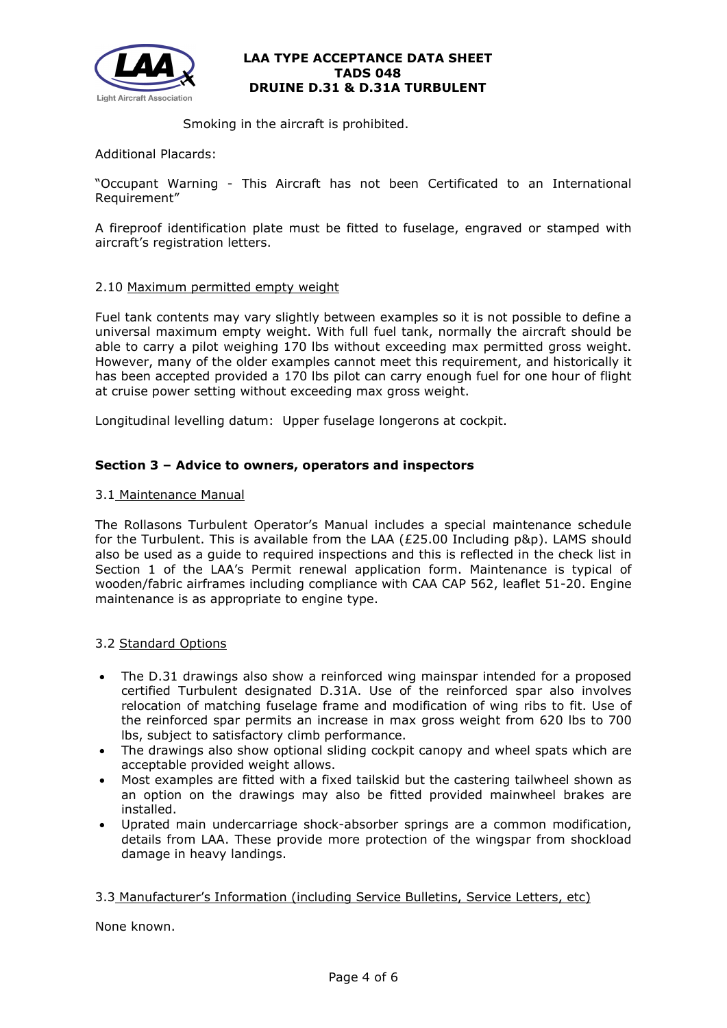

Smoking in the aircraft is prohibited.

Additional Placards:

"Occupant Warning - This Aircraft has not been Certificated to an International Requirement"

A fireproof identification plate must be fitted to fuselage, engraved or stamped with aircraft's registration letters.

## 2.10 Maximum permitted empty weight

Fuel tank contents may vary slightly between examples so it is not possible to define a universal maximum empty weight. With full fuel tank, normally the aircraft should be able to carry a pilot weighing 170 lbs without exceeding max permitted gross weight. However, many of the older examples cannot meet this requirement, and historically it has been accepted provided a 170 lbs pilot can carry enough fuel for one hour of flight at cruise power setting without exceeding max gross weight.

Longitudinal levelling datum: Upper fuselage longerons at cockpit.

# **Section 3 – Advice to owners, operators and inspectors**

## 3.1 Maintenance Manual

The Rollasons Turbulent Operator's Manual includes a special maintenance schedule for the Turbulent. This is available from the LAA (£25.00 Including p&p). LAMS should also be used as a guide to required inspections and this is reflected in the check list in Section 1 of the LAA's Permit renewal application form. Maintenance is typical of wooden/fabric airframes including compliance with CAA CAP 562, leaflet 51-20. Engine maintenance is as appropriate to engine type.

## 3.2 Standard Options

- The D.31 drawings also show a reinforced wing mainspar intended for a proposed certified Turbulent designated D.31A. Use of the reinforced spar also involves relocation of matching fuselage frame and modification of wing ribs to fit. Use of the reinforced spar permits an increase in max gross weight from 620 lbs to 700 lbs, subject to satisfactory climb performance.
- The drawings also show optional sliding cockpit canopy and wheel spats which are acceptable provided weight allows.
- Most examples are fitted with a fixed tailskid but the castering tailwheel shown as an option on the drawings may also be fitted provided mainwheel brakes are installed.
- Uprated main undercarriage shock-absorber springs are a common modification, details from LAA. These provide more protection of the wingspar from shockload damage in heavy landings.

## 3.3 Manufacturer's Information (including Service Bulletins, Service Letters, etc)

None known.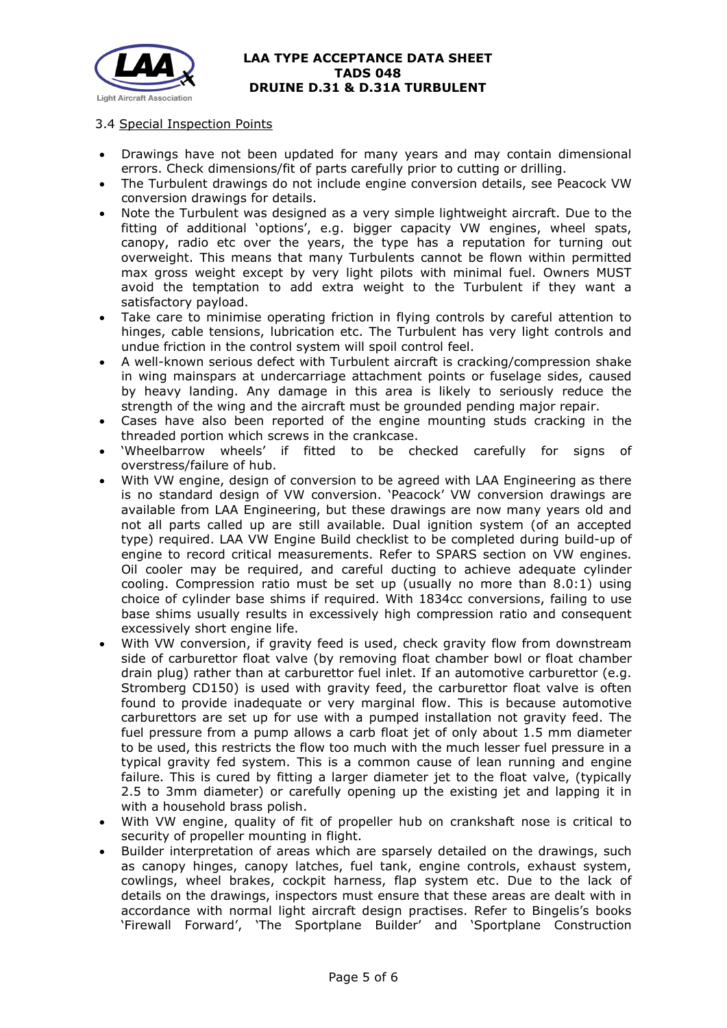

## 3.4 Special Inspection Points

- Drawings have not been updated for many years and may contain dimensional errors. Check dimensions/fit of parts carefully prior to cutting or drilling.
- The Turbulent drawings do not include engine conversion details, see Peacock VW conversion drawings for details.
- Note the Turbulent was designed as a very simple lightweight aircraft. Due to the fitting of additional 'options', e.g. bigger capacity VW engines, wheel spats, canopy, radio etc over the years, the type has a reputation for turning out overweight. This means that many Turbulents cannot be flown within permitted max gross weight except by very light pilots with minimal fuel. Owners MUST avoid the temptation to add extra weight to the Turbulent if they want a satisfactory payload.
- Take care to minimise operating friction in flying controls by careful attention to hinges, cable tensions, lubrication etc. The Turbulent has very light controls and undue friction in the control system will spoil control feel.
- A well-known serious defect with Turbulent aircraft is cracking/compression shake in wing mainspars at undercarriage attachment points or fuselage sides, caused by heavy landing. Any damage in this area is likely to seriously reduce the strength of the wing and the aircraft must be grounded pending major repair.
- Cases have also been reported of the engine mounting studs cracking in the threaded portion which screws in the crankcase.
- 'Wheelbarrow wheels' if fitted to be checked carefully for signs of overstress/failure of hub.
- With VW engine, design of conversion to be agreed with LAA Engineering as there is no standard design of VW conversion. 'Peacock' VW conversion drawings are available from LAA Engineering, but these drawings are now many years old and not all parts called up are still available. Dual ignition system (of an accepted type) required. LAA VW Engine Build checklist to be completed during build-up of engine to record critical measurements. Refer to SPARS section on VW engines. Oil cooler may be required, and careful ducting to achieve adequate cylinder cooling. Compression ratio must be set up (usually no more than 8.0:1) using choice of cylinder base shims if required. With 1834cc conversions, failing to use base shims usually results in excessively high compression ratio and consequent excessively short engine life.
- With VW conversion, if gravity feed is used, check gravity flow from downstream side of carburettor float valve (by removing float chamber bowl or float chamber drain plug) rather than at carburettor fuel inlet. If an automotive carburettor (e.g. Stromberg CD150) is used with gravity feed, the carburettor float valve is often found to provide inadequate or very marginal flow. This is because automotive carburettors are set up for use with a pumped installation not gravity feed. The fuel pressure from a pump allows a carb float jet of only about 1.5 mm diameter to be used, this restricts the flow too much with the much lesser fuel pressure in a typical gravity fed system. This is a common cause of lean running and engine failure. This is cured by fitting a larger diameter jet to the float valve, (typically 2.5 to 3mm diameter) or carefully opening up the existing jet and lapping it in with a household brass polish.
- With VW engine, quality of fit of propeller hub on crankshaft nose is critical to security of propeller mounting in flight.
- Builder interpretation of areas which are sparsely detailed on the drawings, such as canopy hinges, canopy latches, fuel tank, engine controls, exhaust system, cowlings, wheel brakes, cockpit harness, flap system etc. Due to the lack of details on the drawings, inspectors must ensure that these areas are dealt with in accordance with normal light aircraft design practises. Refer to Bingelis's books 'Firewall Forward', 'The Sportplane Builder' and 'Sportplane Construction